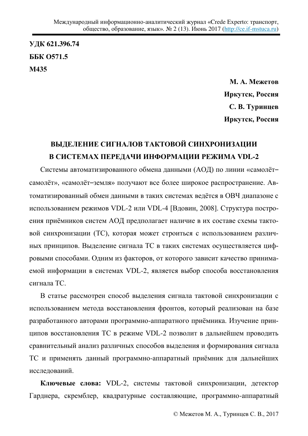**ɍȾɄ 621.396.74**  ББК 0571.5 **Ɇ435**

> **М. А. Межетов Иркутск, Россия** С. В. Туринцев **Иркутск, Россия**

# ВЫДЕЛЕНИЕ СИГНАЛОВ ТАКТОВОЙ СИНХРОНИЗАЦИИ В СИСТЕМАХ ПЕРЕДАЧИ ИНФОРМАЦИИ РЕЖИМА VDL-2

Системы автоматизированного обмена данными (АОД) по линии «самолётсамолёт», «самолёт-земля» получают все более широкое распространение. Автоматизированный обмен данными в таких системах ведётся в ОВЧ диапазоне с использованием режимов VDL-2 или VDL-4 [Вдовин, 2008]. Структура построения приёмников систем АОД предполагает наличие в их составе схемы тактовой синхронизации (TC), которая может строиться с использованием различных принципов. Выделение сигнала ТС в таких системах осуществляется цифровыми способами. Одним из факторов, от которого зависит качество принимаемой информации в системах VDL-2, является выбор способа восстановления сигнала ТС.

В статье рассмотрен способ выделения сигнала тактовой синхронизации с использованием метода восстановления фронтов, который реализован на базе разработанного авторами программно-аппаратного приёмника. Изучение принципов восстановления ТС в режиме VDL-2 позволит в дальнейшем проводить сравнительный анализ различных способов выделения и формирования сигнала ТС и применять данный программно-аппаратный приёмник для дальнейших исследований.

Ключевые слова: VDL-2, системы тактовой синхронизации, детектор Гарднера, скремблер, квадратурные составляющие, программно-аппаратный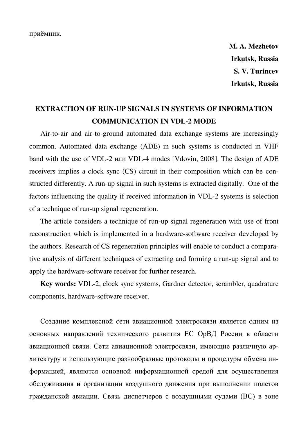приёмник.

**M. A. Mezhetov Irkutsk, Russia S. V. Turincev Irkutsk, Russia** 

# **EXTRACTION OF RUN-UP SIGNALS IN SYSTEMS OF INFORMATION COMMUNICATION IN VDL-2 MODE**

Air-to-air and air-to-ground automated data exchange systems are increasingly common. Automated data exchange (ADE) in such systems is conducted in VHF band with the use of VDL-2 или VDL-4 modes [Vdovin, 2008]. The design of ADE receivers implies a clock sync (CS) circuit in their composition which can be constructed differently. A run-up signal in such systems is extracted digitally. One of the factors influencing the quality if received information in VDL-2 systems is selection of a technique of run-up signal regeneration.

The article considers a technique of run-up signal regeneration with use of front reconstruction which is implemented in a hardware-software receiver developed by the authors. Research of CS regeneration principles will enable to conduct a comparative analysis of different techniques of extracting and forming a run-up signal and to apply the hardware-software receiver for further research.

**Key words:** VDL-2, clock sync systems, Gardner detector, scrambler, quadrature components, hardware-software receiver.

Создание комплексной сети авиационной электросвязи является одним из основных направлений технического развития ЕС ОрВД России в области авиационной связи. Сети авиационной электросвязи, имеющие различную архитектуру и использующие разнообразные протоколы и процедуры обмена информацией, являются основной информационной средой для осуществления обслуживания и организации воздушного движения при выполнении полетов гражданской авиации. Связь диспетчеров с воздушными судами (ВС) в зоне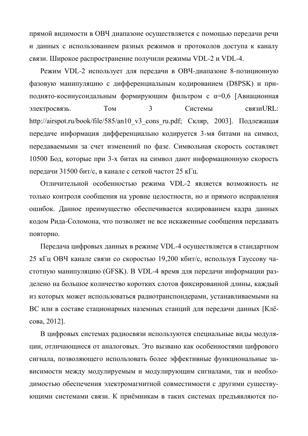прямой видимости в ОВЧ диапазоне осуществляется с помощью передачи речи и данных с использованием разных режимов и протоколов доступа к каналу связи. Широкое распространение получили режимы VDL-2 и VDL-4.

Режим VDL-2 использует для передачи в ОВЧ-диапазоне 8-позиционную фазовую манипуляцию с дифференциальным кодированием (D8PSK) и приподнято-косинусоидальным формирующим фильтром с  $\alpha=0,6$  [Авиационная электросвязь. Том 3 Системы связиURL: http://airspot.ru/book/file/585/an10 v3 cons ru.pdf; Скляр, 2003]. Подлежащая передаче информация дифференциально кодируется 3-мя битами на символ, передаваемыми за счет изменений по фазе. Символьная скорость составляет 10500 Бод, которые при 3-х битах на символ дают информационную скорость передачи 31500 бит/с, в канале с сеткой частот 25 кГц.

Отличительной особенностью режима VDL-2 является возможность не только контроля сообщения на уровне целостности, но и прямого исправления ошибок. Данное преимущество обеспечивается кодированием кадра данных кодом Рида-Соломона, что позволяет не все искаженные сообщения передавать повторно.

Передача цифровых данных в режиме VDL-4 осуществляется в стандартном 25 кГц ОВЧ канале связи со скоростью 19,200 кбит/с, используя Гауссову частотную манипуляцию (GFSK). В VDL-4 время для передачи информации разделено на большое количество коротких слотов фиксированной длины, каждый из которых может использоваться радиотранспондерами, устанавливаемыми на ВС или в составе стационарных наземных станций для передачи данных [Клёсова, 2012].

В цифровых системах радиосвязи используются специальные виды модуляции, отличающиеся от аналоговых. Это вызвано как особенностями цифрового сигнала, позволяющего использовать более эффективные функциональные зависимости между модулируемым и модулирующим сигналами, так и необходимостью обеспечения электромагнитной совместимости с другими существующими системами связи. К приёмникам в таких системах предъявляются по-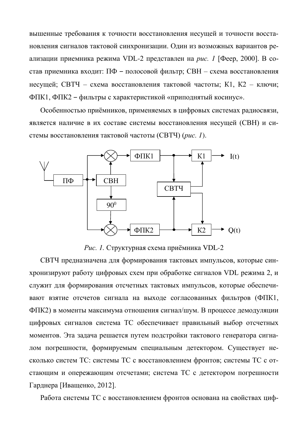вышенные требования к точности восстановления несущей и точности восстановления сигналов тактовой синхронизации. Один из возможных вариантов реализации приемника режима VDL-2 представлен на рис. 1 [Феер, 2000]. В состав приемника входит: ПФ – полосовой фильтр; СВН – схема восстановления несущей; СВТЧ – схема восстановления тактовой частоты; К1, К2 – ключи; ФПК1, ФПК2 – фильтры с характеристикой «приподнятый косинус».

Особенностью приёмников, применяемых в цифровых системах радиосвязи, является наличие в их составе системы восстановления несущей (СВН) и системы восстановления тактовой частоты (СВТЧ) (рис. 1).



Рис. 1. Структурная схема приёмника VDL-2

СВТЧ предназначена для формирования тактовых импульсов, которые синхронизируют работу цифровых схем при обработке сигналов VDL режима 2, и служит для формирования отсчетных тактовых импульсов, которые обеспечивают взятие отсчетов сигнала на выходе согласованных фильтров (ФПК1, ФПК2) в моменты максимума отношения сигнал/шум. В процессе демодуляции цифровых сигналов система ТС обеспечивает правильный выбор отсчетных моментов. Эта задача решается путем подстройки тактового генератора сигналом погрешности, формируемым специальным детектором. Существует несколько систем ТС: системы ТС с восстановлением фронтов; системы ТС с отстающим и опережающим отсчетами; система ТС с детектором погрешности Гарднера [Иващенко, 2012].

Работа системы ТС с восстановлением фронтов основана на свойствах циф-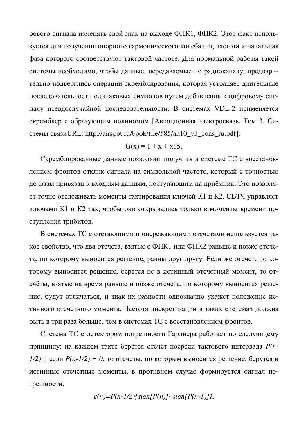рового сигнала изменять свой знак на выходе ФПК1, ФПК2. Этот факт используется для получения опорного гармонического колебания, частота и начальная фаза которого соответствуют тактовой частоте. Для нормальной работы такой системы необходимо, чтобы данные, передаваемые по радиоканалу, предварительно подверглись операции скремблирования, которая устраняет длительные последовательности одинаковых символов путем добавления к цифровому сигналу псевдослучайной последовательности. В системах VDL-2 применяется скремблер с образующим полиномом [Авиационная электросвязь. Том 3. Сиcтемы связиURL: http://airspot.ru/book/file/585/an10 v3 cons\_ru.pdf]:

$$
G(x) = 1 + x + x15.
$$

Скремблированные данные позволяют получить в системе ТС с восстановлением фронтов отклик сигнала на символьной частоте, который с точностью до фазы привязан к входным данным, поступающим на приёмник. Это позволяет точно отслеживать моменты тактирования ключей К1 и К2. СВТЧ управляет ключами К1 и К2 так, чтобы они открывались только в моменты времени поступления трибитов.

В системах ТС с отстающими и опережающими отсчетами используется такое свойство, что два отсчета, взятые с ФПК1 или ФПК2 раньше и позже отсчета, по которому выносится решение, равны друг другу. Если же отсчет, по которому выносится решение, берётся не в истинный отсчетный момент, то отсчёты, взятые на время раньше и позже отсчета, по которому выносится решение, будут отличаться, и знак их разности однозначно укажет положение истинного отсчетного момента. Частота дискретизации в таких системах должна быть в три раза больше, чем в системах ТС с восстановлением фронтов.

Система ТС с детектором погрешности Гарднера работает по следующему принципу: на каждом такте берётся отсчёт посреди тактового интервала  $P(n-$ *1/2)* и если  $P(n-1/2) = 0$ , то отсчеты, по которым выносится решение, берутся в истинные отсчётные моменты, в противном случае формируется сигнал погрешности:

$$
e(n)=P(n-1/2)\{sign[P(n)] - sign[P(n-1)]\},\
$$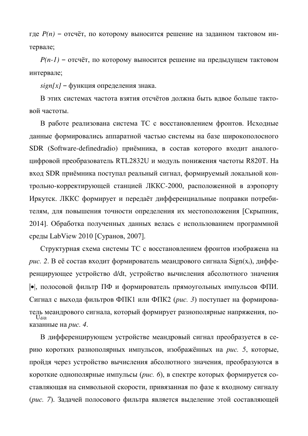где  $P(n)$  – отсчёт, по которому выносится решение на заданном тактовом интервале;

 $P(n-1)$  – отсчёт, по которому выносится решение на предыдущем тактовом интервале;

*sign[x]* – функция определения знака.

В этих системах частота взятия отсчётов должна быть вдвое больше тактовой частоты.

В работе реализована система ТС с восстановлением фронтов. Исходные данные формировались аппаратной частью системы на базе широкополосного SDR (Software-definedradio) приёмника, в состав которого входит аналогоцифровой преобразователь RTL2832U и модуль понижения частоты R820T. На вход SDR приёмника поступал реальный сигнал, формируемый локальной контрольно-корректирующей станцией ЛККС-2000, расположенной в аэропорту Иркутск. ЛККС формирует и передаёт дифференциальные поправки потребителям, для повышения точности определения их местоположения [Скрыпник, 2014]. Обработка полученных данных велась с использованием программной среды LabView 2010 [Суранов, 2007].

Структурная схема системы ТС с восстановлением фронтов изображена на *puc.* 2. В её состав входит формирователь меандрового сигнала Sign(x<sub>i</sub>), дифференцирующее устройство d/dt, устройство вычисления абсолютного значения |•|, полосовой фильтр ПФ и формирователь прямоугольных импульсов ФПИ. Сигнал с выхода фильтров ФПК1 или ФПК2 (*рис. 3*) поступает на формирователь меандрового сигнала, который формирует разнополярные напряжения, поɤɚɡɚɧɧɵɟ ɧɚ *ɪиɫ. 4*. Ud/dt

В дифференцирующем устройстве меандровый сигнал преобразуется в серию коротких разнополярных импульсов, изображённых на *рис*. 5, которые, пройдя через устройство вычисления абсолютного значения, преобразуются в короткие однополярные импульсы (*рис. 6*), в спектре которых формируется составляющая на символьной скорости, привязанная по фазе к входному сигналу (рис. 7). Задачей полосового фильтра является выделение этой составляющей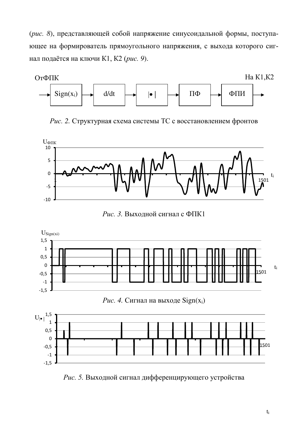(рис. 8), представляющей собой напряжение синусоидальной формы, поступающее на формирователь прямоугольного напряжения, с выхода которого сигнал подаётся на ключи К1, К2 (рис. 9).



*Рис.* 2. Структурная схема системы ТС с восстановлением фронтов



Рис. 3. Выходной сигнал с ФПК1



Рис. 5. Выходной сигнал дифференцирующего устройства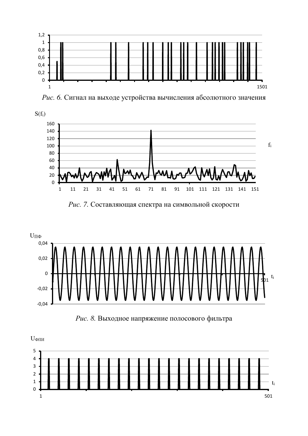

Рис. 6. Сигнал на выходе устройства вычисления абсолютного значения



Рис. 7. Составляющая спектра на символьной скорости



Рис. 8. Выходное напряжение полосового фильтра

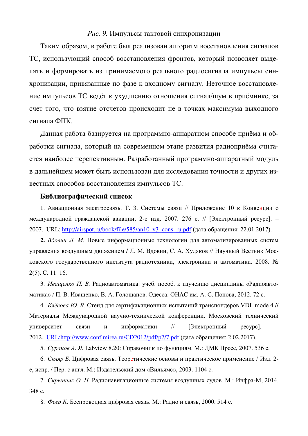## Рис. 9. Импульсы тактовой синхронизации

Таким образом, в работе был реализован алгоритм восстановления сигналов ТС, использующий способ восстановления фронтов, который позволяет выделять и формировать из принимаемого реального радиосигнала импульсы синхронизации, привязанные по фазе к входному сигналу. Неточное восстановление импульсов ТС ведёт к ухудшению отношения сигнал/шум в приёмнике, за счет того, что взятие отсчетов происходит не в точках максимума выходного сигнала ФПК.

Данная работа базируется на программно-аппаратном способе приёма и обработки сигнала, который на современном этапе развития радиоприёма считается наиболее перспективным. Разработанный программно-аппаратный модуль в дальнейшем может быть использован для исследования точности и других известных способов восстановления импульсов ТС.

#### **Библиографический список**

1. Авиационная электросвязь. Т. 3. Системы связи // Приложение 10 к Конвенции о международной гражданской авиации, 2-е изд. 2007. 276 с. // [Электронный ресурс]. -2007. URL: http://airspot.ru/book/file/585/an10 v3 cons ru.pdf (дата обращения: 22.01.2017).

**2.** Вдовин Л. М. Новые информационные технологии для автоматизированных систем управления воздушным движением / Л. М. Вдовин, С. А. Худяков // Научный Вестник Московского государственного института радиотехники, электроники и автоматики. 2008. №  $2(5)$ . C. 11–16.

3. Иващенко П. В. Радиоавтоматика: учеб. пособ. к изучению дисциплины «Радиоавтоматика» / П. В. Иващенко, В. А. Голощапов. Одесса: ОНАС им. А. С. Попова, 2012. 72 с.

4. *Клёсова Ю. В.* Стенд для сертификационных испытаний транспондеров VDL mode 4 // Материалы Международной научно-технической конференции. Московский технический үниверситет связи и информатики // [Электронный ресурс]. 2012. [URL:http://www.conf.mirea.ru/CD2012/pdf/p7/7.pdf](http://www.conf.mirea.ru/CD2012/pdf/p7/7.pdf) (дата обращения: 2.02.2017).

5. *Суранов А. Я.* Labview 8.20: Справочник по функциям. М.: ДМК Пресс, 2007. 536 с.

6. *Скляр Б.* Цифровая связь. Теоретические основы и практическое применение / Изд. 2е, испр. / Пер. с англ. М.: Издательский дом «Вильямс», 2003. 1104 с.

7. *Скрыпник О. Н.* Радионавигационные системы воздушных судов. М.: Инфра-М, 2014. 348 c.

8. Феер К. Беспроводная цифровая связь. М.: Радио и связь, 2000. 514 с.